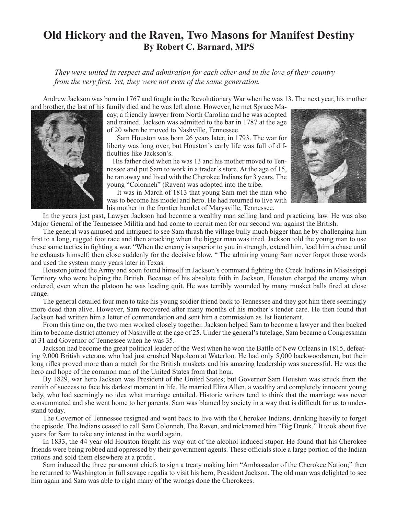## **Old Hickory and the Raven, Two Masons for Manifest Destiny By Robert C. Barnard, MPS**

*They were united in respect and admiration for each other and in the love of their country from the very first. Yet, they were not even of the same generation.* 

Andrew Jackson was born in 1767 and fought in the Revolutionary War when he was 13. The next year, his mother and brother, the last of his family died and he was left alone. However, he met Spruce Ma-



cay, a friendly lawyer from North Carolina and he was adopted and trained. Jackson was admitted to the bar in 1787 at the age of 20 when he moved to Nashville, Tennessee.

Sam Houston was born 26 years later, in 1793. The war for liberty was long over, but Houston's early life was full of difficulties like Jackson's.

 His father died when he was 13 and his mother moved to Tennessee and put Sam to work in a trader's store. At the age of 15, he ran away and lived with the Cherokee Indians for 3 years. The young "Colonneh" (Raven) was adopted into the tribe.

It was in March of 1813 that young Sam met the man who was to become his model and hero. He had returned to live with his mother in the frontier hamlet of Marysville, Tennessee.



In the years just past, Lawyer Jackson had become a wealthy man selling land and practicing law. He was also Major General of the Tennessee Militia and had come to recruit men for our second war against the British.

The general was amused and intrigued to see Sam thrash the village bully much bigger than he by challenging him first to a long, rugged foot race and then attacking when the bigger man was tired. Jackson told the young man to use these same tactics in fighting a war. "When the enemy is superior to you in strength, extend him, lead him a chase until he exhausts himself; then close suddenly for the decisive blow. " The admiring young Sam never forgot those words and used the system many years later in Texas.

Houston joined the Army and soon found himself in Jackson's command fighting the Creek Indians in Mississippi Territory who were helping the British. Because of his absolute faith in Jackson, Houston charged the enemy when ordered, even when the platoon he was leading quit. He was terribly wounded by many musket balls fired at close range.

The general detailed four men to take his young soldier friend back to Tennessee and they got him there seemingly more dead than alive. However, Sam recovered after many months of his mother's tender care. He then found that Jackson had written him a letter of commendation and sent him a commission as 1st lieutenant.

From this time on, the two men worked closely together. Jackson helped Sam to become a lawyer and then backed him to become district attorney of Nashville at the age of 25. Under the general's tutelage, Sam became a Congressman at 31 and Governor of Tennessee when he was 35.

Jackson had become the great political leader of the West when he won the Battle of New Orleans in 1815, defeating 9,000 British veterans who had just crushed Napoleon at Waterloo. He had only 5,000 backwoodsmen, but their long rifles proved more than a match for the British muskets and his amazing leadership was successful. He was the hero and hope of the common man of the United States from that hour.

By 1829, war hero Jackson was President of the United States; but Governor Sam Houston was struck from the zenith of success to face his darkest moment in life. He married Eliza Allen, a wealthy and completely innocent young lady, who had seemingly no idea what marriage entailed. Historic writers tend to think that the marriage was never consummated and she went home to her parents. Sam was blamed by society in a way that is difficult for us to understand today.

The Governor of Tennessee resigned and went back to live with the Cherokee Indians, drinking heavily to forget the episode. The Indians ceased to call Sam Colonneh, The Raven, and nicknamed him "Big Drunk." It took about five years for Sam to take any interest in the world again.

In 1833, the 44 year old Houston fought his way out of the alcohol induced stupor. He found that his Cherokee friends were being robbed and oppressed by their government agents. These officials stole a large portion of the Indian rations and sold them elsewhere at a profit .

Sam induced the three paramount chiefs to sign a treaty making him "Ambassador of the Cherokee Nation;" then he returned to Washington in full savage regalia to visit his hero, President Jackson. The old man was delighted to see him again and Sam was able to right many of the wrongs done the Cherokees.